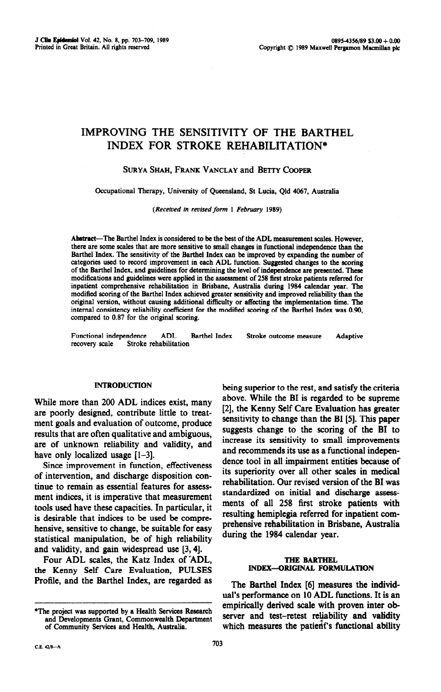# IMPROVING THE SENSITIVITY OF THE BARTHEL INDEX FOR STROKE REHABILITATION\*

# **SURYA SHAH, FRANK VANCLAY** and **BETTY COOPER**

**Occupational Therapy, University of Queensland, St Lucia, Qld 4067, Australia** 

*(Received in revised form* I *February* **1989)** 

**Abstract-The Barthel Index is considered to be the best of the ADL measurement scales. However, there are some scales that are more sensitive to small changes in functional independence than the Barthel Index. The sensitivity of the Barthel Index can be improved by expanding the number of categories used to record improvement in each ADL function. Suggested changes to the scoring of the Barthel Index, and guidelines for determining the level of independence are presented. These modifications and guidelines were applied in the assessment of 258 first stroke patients referred for inpatient comprehensive rehabilitation in Brisbane, Australia during 1984 calendar year. The modified scoring of the Barthel Index achieved greater sensitivity and improved reliability than the original version, without causing additional difllculty or affecting the implementation time. The**  internal consistency reliability coefficient for the modified scoring of the Barthel Index was 0.90, **compared to 0.87 for the original scoring.** 

**Functional independence ADL Barthel Index Stroke outcome measure Adaptive Stroke rehabilitation** 

# **INTRODUCTION**

**While** more than 200 ADL indices exist, many are poorly designed, contribute little to treatment goals and evaluation of outcome, produce results that are often qualitative and ambiguous, are of unknown reliability and validity, and have only localized usage  $[1-3]$ .

Since improvement in function, effectiveness of intervention, and discharge disposition continue to remain as essential features for assessment indices, it is imperative that measurement tools used have these capacities. In particular, it is desirable that indices to be used be comprehensive, sensitive to change, be suitable for easy statistical manipulation, be of high reliability and validity, and gain widespread use [3,4].

Four ADL scales, the Katz Index of "ADL, the Kenny Self Care Evaluation, PULSES Profile, and the Barthel Index, are regarded as being superior to the rest, and satisfy the criteria above. While the BI is regarded to be supreme [2], the Kenny Self Care Evaluation has greater sensitivity to change than the BI [5]. This paper suggests change to the scoring of the BI to increase its sensitivity to small improvements and recommends its use as a functional independence tool in all impairment entities because of its superiority over all other scales in medical rehabilitation. Our revised version of the BI was standardized on initial and discharge assessments of all 258 first stroke patients with resulting hemiplegia referred for inpatient comprehensive rehabilitation in Brisbane, Australia during the 1984 calendar year.

## THE **BARTHEL INDEX-ORIGINAL FORMULATION**

**The** Barthel Index [6] measures the individual's performance on 10 ADL functions. It is an empirically derived scale with proven inter observer and test-retest reliability and validity which measures the patient's functional ability

**<sup>\*</sup>The project was supported by a Health Services Research and Developments Grant, Commonwealth Department of Community Services and Health, Australia.**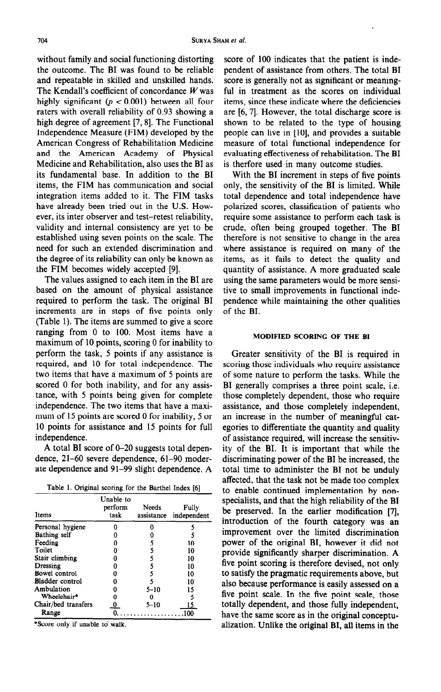without family and social functioning distorting the outcome. The BI was found to be reliable and repeatable in skilled and unskilled hands. The Kendall's coefficient of concordance *W* was highly significant ( $p < 0.001$ ) between all four raters with overall reliability of 0.93 showing a high degree of agreement [7,8]. The Functional Independence Measure (FIM) developed by the American Congress of Rehabilitation Medicine and the American Academy of Physical Medicine and Rehabilitation, also uses the BI as its fundamental base. In addition to the BI items, the FIM has communication and social integration items added to it. The FIM tasks have already been tried out in the U.S. However, its inter observer and test-retest reliability, validity and internal consistency are yet to be established using seven points on the scale. The need for such an extended discrimination and the degree of its reliability can only be known as the FIM becomes widely accepted [9].

The values assigned to each item in the BI are based on the amount of physical assistance required to perform the task. The original BI increments are in steps of five points only (Table 1). The items are summed to give a score ranging from 0 to 100. Most items have a maximum of 10 points, scoring 0 for inability to perform the task, 5 points if any assistance is required, and 10 for total independence. The two items that have a maximum of 5 points are scored 0 for both inability, and for any assistance, with 5 points being given for complete independence. The two items that have a maximum of 15 points are scored 0 for inability, 5 or 10 points for assistance and 15 points for full independence.

A total BI score of 0-20 suggests total dependence, 21-60 severe dependence, 61-90 moderate dependence and 91-99 slight dependence. A

| Items                  | Unable to<br>perform<br>task | Needs<br>assistance | Fully<br>independent |
|------------------------|------------------------------|---------------------|----------------------|
| Personal hygiene       | O                            |                     |                      |
| Bathing self           |                              |                     |                      |
| Feeding                | 0                            |                     | 10                   |
| Toilet                 | 0                            | 5                   | 10                   |
| Stair climbing         |                              | 5                   | 10                   |
| Dressing               | O                            | 5                   | 10                   |
| Bowel control          |                              | 5                   | 10                   |
| <b>Bladder</b> control |                              |                     | 10                   |
| Ambulation             |                              | 5-10                | 15                   |
| Wheelchair*            | 0                            | 0                   | 5                    |
| Chair/bed transfers    |                              | $5 - 10$            | 15                   |
| Range                  |                              |                     | 100                  |

Table 1. Original scoring for the Barthel Index [6]

\*Score only if unable to walk.

score of 100 indicates that the patient is independent of assistance from others. The total BI score is generally not as significant or meaningful in treatment as the scores on individual items, since these indicate where the deficiencies are [6,7]. However, the total discharge score is shown to be related to the type of housing people can live in [10], and provides a suitable measure of total functional independence for evaluating effectiveness of rehabilitation. The BI is therfore used in many outcome studies.

With the BI increment in steps of five points only, the sensitivity of the BI is limited. While total dependence and total independence have polarized scores, classification of patients who require some assistance to perform each task is crude, often being grouped together. The BI therefore is not sensitive to change in the area where assistance is required on many of the items, as it fails to detect the quality and quantity of assistance. A more graduated scale using the same parameters would be more sensitive to small improvements in functional independence while maintaining the other qualities of the BI.

# MODIFIED SCORING OF THE BI

Greater sensitivity of the BI is required in scoring those individuals who require assistance of some nature to perform the tasks. While the BI generally comprises a three point scale, i.e. those completely dependent, those who require assistance, and those completely independent, an increase in the number of meaningful categories to differentiate the quantity and quality of assistance required, will increase the sensitivity of the BI. It is important that while the discriminating power of the BI be increased, the total time to administer the BI not be unduly affected, that the task not be made too complex to enable continued implementation by nonspecialists, and that the high reliability of the BI be preserved. In the earlier modification [7], introduction of the fourth category was an improvement over the limited discrimination power of the original BI, however it did not provide significantly sharper discrimination. A five point scoring is therefore devised, not only to satisfy the pragmatic requirements above, but also because performance is easily assessed on a five point scale. In the five point scale, those totally dependent, and those fully independent, have the same score as in the original conceptualization. Unlike the original BI, all items in the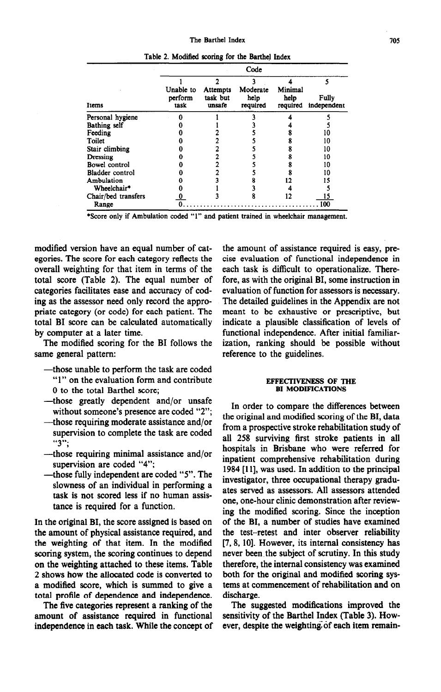|  |  |  | Table 2. Modified scoring for the Barthel Index |  |  |  |  |
|--|--|--|-------------------------------------------------|--|--|--|--|
|--|--|--|-------------------------------------------------|--|--|--|--|

|                        |                              |                                | Code                         |                             |                      |
|------------------------|------------------------------|--------------------------------|------------------------------|-----------------------------|----------------------|
| Items                  | Unable to<br>perform<br>task | Attempts<br>task but<br>unsafe | Moderate<br>help<br>required | Minimal<br>help<br>required | Fully<br>independent |
| Personal hygiene       |                              |                                |                              |                             |                      |
| Bathing self           |                              |                                |                              |                             |                      |
| Feeding                |                              |                                |                              |                             | 10                   |
| Toilet                 |                              |                                |                              |                             | 10                   |
| Stair climbing         |                              |                                |                              |                             | 10                   |
| <b>Dressing</b>        |                              |                                |                              |                             | 10                   |
| Bowel control          |                              |                                |                              |                             | 10                   |
| <b>Bladder</b> control |                              |                                |                              |                             | 10                   |
| Ambulation             |                              |                                |                              |                             | 15                   |
| Wheelchair*            |                              |                                |                              |                             |                      |
| Chair/bed transfers    |                              |                                |                              | 12                          | 15                   |
| Range                  |                              |                                |                              |                             | 100                  |

\*Score only if Ambulation coded "1" and patient trained in wheelchair management.

modified version have an equal number of categories. The score for each category reflects the overall weighting for that item in terms of the total score (Table 2). The equal number of categories facilitates ease and accuracy of coding as the assessor need only record the appropriate category (or code) for each patient. The total BI score can be calculated automatically by computer at a later time.

The modified scoring for the BI follows the same general pattern:

- -those unable to perform the task are coded "1" on the evaluation form and contribute 0 to the total Barthel score;
- -those greatly dependent and/or unsafe without someone's presence are coded "2";
- -those requiring moderate assistance and/or supervision to complete the task are coded " $3$ ";
- -those requiring minimal assistance and/or supervision are coded "4";
- -those fully independent are coded "5". The slowness of an individual in performing a task is not scored less if no human assistance is required for a function,

In the original BI, the score assigned is based on the amount of physical assistance required, and the weighting of that item. In the modified scoring system, the scoring continues to depend on the weighting attached to these items. Table 2 shows how the allocated code is converted to a modified score, which is summed to give a total profile of dependence and independence.

The five categories represent a ranking of the amount of assistance required in functional independence in each task. While the concept of

the amount of assistance required is easy, precise evaluation of functional independence in each task is difficult to operationalize. Therefore, as with the original BI, some instruction in evaluation of function for assessors is necessary. The detailed guidelines in the Appendix are not meant to be exhaustive or prescriptive, but indicate a plausible classification of levels of functional independence. After initial familiarization, ranking should be possible without reference to the guidelines.

## EFFECTIVENESS OF THE BI MODIFICATIONS

In order to compare the differences between the original and modified scoring of the BI, data from a prospective stroke rehabilitation study of all 258 surviving first stroke patients in all hospitals in Brisbane who were referred for inpatient comprehensive rehabilitation during 1984 [l I], was used. In addition to the principal investigator, three occupational therapy graduates served as assessors. All assessors attended one, one-hour clinic demonstration after reviewing the modified scoring. Since the inception of the BI, a number of studies have examined the test-retest and inter observer reliability [7,8, lo]. However, its internal consistency has never been the subject of scrutiny. In this study therefore, the internal consistency was examined both for the original and modified scoring systems at commencement of rehabilitation and on discharge.

The suggested modifications improved the sensitivity of the Barthel Index (Table 3). However, despite the weighting of each item remain-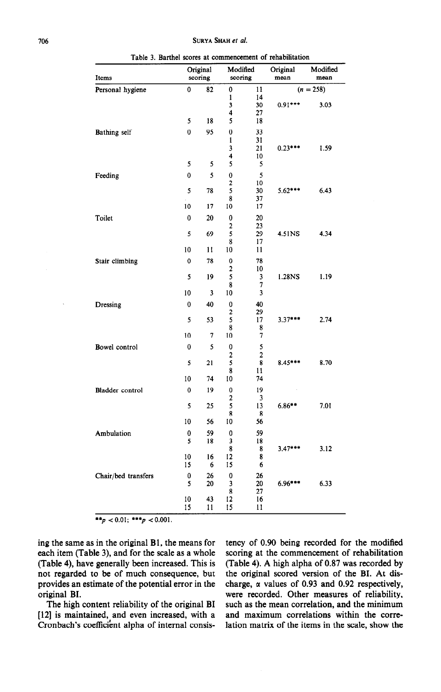| Items               |              | Original<br>scoring |                                    | Modified<br>scoring           | Original<br>mean | Modified<br>mean    |
|---------------------|--------------|---------------------|------------------------------------|-------------------------------|------------------|---------------------|
| Personal hygiene    | 0<br>5       | 82<br>18            | 0<br>1<br>3<br>4<br>5              | 11<br>14<br>30<br>27<br>18    | $0.91***$        | $(n = 258)$<br>3.03 |
| <b>Bathing self</b> | $\bf{0}$     | 95                  | $\bf{0}$<br>1<br>3<br>4            | 33<br>31<br>21<br>10          | $0.23***$        | 1.59                |
| Feeding             | 5<br>0       | 5<br>5              | 5<br>$\bf{0}$<br>2                 | 5<br>5<br>10                  |                  |                     |
|                     | 5<br>10      | 78<br>17            | 5<br>8<br>10                       | 30<br>37<br>17                | $5.62***$        | 6.43                |
| Toilet              | 0<br>5       | 20<br>69            | 0<br>$\overline{2}$<br>5<br>8      | 20<br>23<br>29<br>17          | 4.51NS           | 4.34                |
| Stair climbing      | 10<br>0      | 11<br>78            | 10<br>0<br>2                       | 11<br>78<br>10                |                  |                     |
|                     | 5<br>10      | 19<br>3             | 5<br>8<br>10                       | 3<br>7<br>3                   | 1.28NS           | 1.19                |
| Dressing            | 0<br>5       | 40<br>53            | $\bf{0}$<br>$\mathbf{2}$<br>5<br>8 | 40<br>29<br>17<br>8           | $3.37***$        | 2.74                |
| Bowel control       | 10<br>0<br>5 | 7<br>5<br>21        | 10<br>0<br>$\overline{2}$<br>5     | 7<br>5<br>$\overline{2}$<br>8 | $8.45***$        | 8.70                |
| Bladder control     | 10<br>0      | 74<br>19            | 8<br>10<br>$\bf{0}$                | 11<br>74<br>19                |                  |                     |
|                     | 5            | 25                  | 2<br>5<br>8                        | 3<br>13<br>8                  | $6.86***$        | 7.01                |
| Ambulation          | 10<br>0<br>5 | 56<br>59<br>18      | 10<br>0<br>3                       | 56<br>59<br>18                |                  |                     |
|                     | 10<br>15     | 16<br>6             | 8<br>12<br>15                      | 8<br>8<br>6                   | $3.47***$        | 3.12                |
| Chair/bed transfers | 0<br>5       | 26<br>20            | $\bf{0}$<br>3<br>8                 | 26<br>20<br>27                | $6.96***$        | 6.33                |
|                     | 10<br>15     | 43<br>11            | 12<br>15                           | 16<br>11                      |                  |                     |

Table 3. Barthel scores at commencement of rehabilitation

\*\*p < 0.01; \*\*\*p < 0.001.

ing the same as in the original Bl, the means for each item (Table 3), and for the scale as a whole (Table 4), have generally been increased. This is not regarded to be of much consequence, but provides an estimate of the potential error in the original BI.

The high content reliability of the original BI [12] is maintained, and even increased, with a Cronbach's coefficient alpha of internal consistency of 0.90 being recorded for the modified scoring at the commencement of rehabilitation (Table 4). A high alpha of 0.87 was recorded by the original scored version of the BI. At discharge,  $\alpha$  values of 0.93 and 0.92 respectively, were recorded. Other measures of reliability, such as the mean correlation, and the minimum and maximum correlations within the correlation matrix of the items in the scale, show the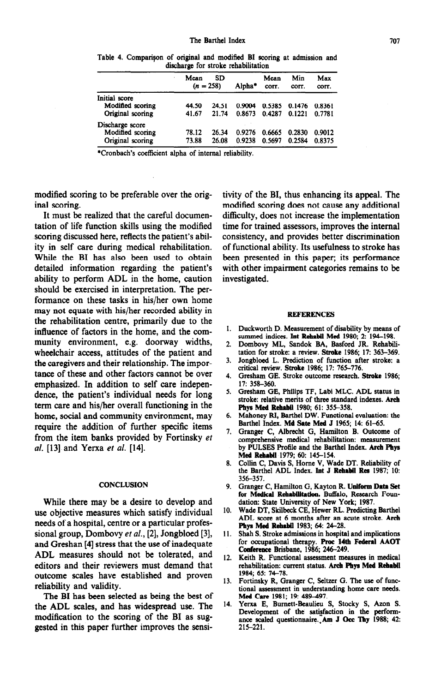|                  | Mean  | SD<br>$(n = 258)$ | Alpha* | Mean<br>COTT. | Min<br>corr. | Max<br>COTT. |
|------------------|-------|-------------------|--------|---------------|--------------|--------------|
| Initial score    |       |                   |        |               |              |              |
| Modified scoring | 44.50 | 24.51             | 0.9004 | 0.5385        | 0.1476       | 0.8361       |
| Original scoring | 41.67 | 21.74             | 0.8673 | 0.4287        | 0.1221       | 0.7781       |
| Discharge score  |       |                   |        |               |              |              |
| Modified scoring | 78.12 | 26.34             | 0.9276 | 0.6665        | 0.2830       | 0.9012       |
| Original scoring | 73.88 | 26.08             | 0.9238 | 0.5697        | 0.2584       | 0.8375       |

Table 4. Comparigon of original and modified BI **scoring at admission and**  discharge for stroke rehabilitation

\*Cronbach's coefficient alpha of internal reliability.

modified scoring to be preferable over the original scoring.

It must be realized that the careful documentation of life function skills using the modified scoring discussed here, reflects the patient's ability in self care during medical rehabilitation. While the BI has also been used to obtain detailed information regarding the patient's ability to perform ADL in the home, caution should be exercised in interpretation. The performance on these tasks in his/her own home may not equate with his/her recorded ability in the rehabilitation centre, primarily due to the influence of factors in the home, and the community environment, e.g. doorway widths, wheelchair access, attitudes of the patient and the caregivers and their relationship. The importance of these and other factors cannot be over emphasized. In addition to self care independence, the patient's individual needs for long term care and his/her overall functioning in the home, social and community environment, may require the addition of further specific items from the item banks provided by Fortinsky et al. [13] and Yerxa *et al.* [14].

# **CONCLUSION**

While there may be a desire to develop and use objective measures which satisfy individual needs of a hospital, centre or a particular professional group, Dombovy *et al.,* [2], Jongbloed [3], and Greshan [4] stress that the use of inadequate ADL measures should not be tolerated, and editors and their reviewers must demand that outcome scales have established and proven reliability and validity.

The BI has been selected as being the best of the ADL scales, and has widespread use. The modification to the scoring of the BI as suggested in this paper further improves the sensitivity of the BI, thus enhancing its appeal. The modified scoring does not cause any additional difficulty, does not increase the implementation time for trained assessors, improves the internal consistency, and provides better discrimination of functional ability. Its usefulness to stroke has been presented in this paper; its performance with other impairment categories remains to be investigated.

#### **REFERENCES**

- 1. Duckworth D. Measurement of disability by means of summed indices. Int Rehabil Med 1980; 2: 194-198.
- 2. Dombovy ML, Sandok BA, Basford JR. Rehabilitation for stroke: a review. **Stroke** 1986; 17: 363-369.
- 3. Jongbloed L. Prediction of function after stroke: a critical review. **Stroke** 1986; 17: 765-776.
- 4. Gresham GE. Stroke outcome research. Stroke 1986; 17: 358-360.
- 5. Gresham GE, Philips TF, Labi MLC. ADL status in stroke: relative merits of three standard indexes. Arch Phys **Mad Rehabil** 1980; 61: 355-358.
- 6. Mahoney RI, Barthel DW. Functional evaluation: the Barthel Index. **Md Sate Med J 1965: 14: 61-65.**
- 7. Granger C, Albrecht G, Hamilton B. Outcome of comprehensive medical rehabilitation: measurement by PULSES Profile and the Barthel Index. Arch Phys Med Rehabil 1979; 60: 145-154.
- 8. Collin C, Davis S, Horne V, Wade DT. Reliability of the Barthel ADL Index. Int **J Rehabil Rea** 1987; 10: 356-357.
- 9. Granger C, Hamilton G, Kayton R. Uniform **Data Set**  for Medical Rehabilitation. Buffalo, Research Foundation: State University of New York; 1987.
- 10. Wade DT, Skilbeck CE, Hewer RL. Predicting Barthel ADL score at 6 months after an acute stroke. Arch Phvs **Med Rebabil** 1983: 64: 24-28.
- 11. Shah S. Stroke admissions in hospital and implications for occupational therapy. Proe **14U1 Federal MOT**  Conference Brisbane, 1986; 246-249.
- 12. Keith R. Functional assessment measures in medical rehabilitation: current status. Arch Phys Med Rehabil 1984; 65: 74-78.
- 13. Fortinsky R, Granger C, Seltzer G. The use of functional assessment in understanding home care needs. Med Care 1981; 19: 489-497
- 14. Yerxa E, Burnett-Beaulieu S, Stocky S, Azon S. Development of the satisfaction in the performance scaled questionnaire. Am **J** Occ Thy 1988; 42: 215-221.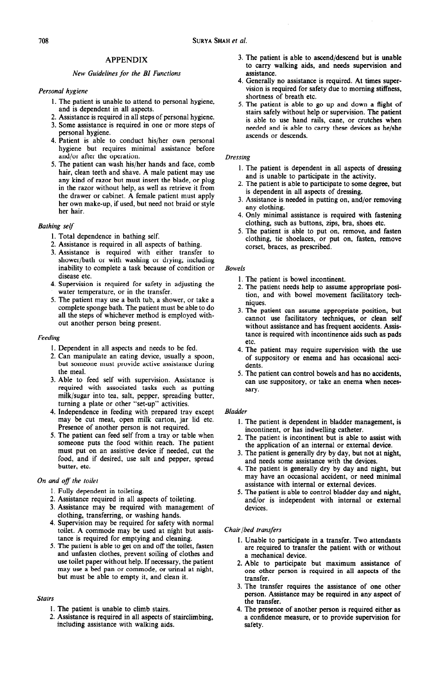# APPENDIX

### New *Guidelines for the BI Functions*

#### *Personal hygiene*

- *I.* The patient is unable to attend to personal hygiene, and is dependent in all aspects.
- 2. Assistance is required in all steps of personal hygiene.
- 3. Some assistance is required in one or more steps of personal hygiene.
- 4. Patient is able to conduct his/her own personal hygiene but requires minimal assistance before and/or after the operation.
- 5. The patient can wash his/her hands and face, comb hair, clean teeth and shave. A male patient may use any kind of razor but must insert the blade, or plug in the razor without help, as well as retrieve it from the drawer or cabinet. A female patient must apply her own make-up, if used, but need not braid or style her hair.

## **Bathing** self

- 1. Total dependence in bathing self.
- 2. Assistance is required in ail aspects of bathing.
- 3. Assistance is required with either transfer to shower/bath or with washing or drying; including inability to complete a task because of condition or disease etc.
- 4. Supervision is required for safety in adjusting the water temperature, or in the transfer.
- 5. The patient may use a bath tub, a shower, or take a complete sponge bath. The patient must be able to do all the steps of whichever method is employed without another person being present.

#### *Feeding*

- *I.* Dependent in all aspects and needs to be fed.
- 2. Can manipulate an eating device, usually a spoon, but someone must provide active assistance during the meal.
- 3. Able to feed self with supervision. Assistance is required with associated tasks such as putting milk/sugar into tea, salt, pepper, spreading butter, turning a plate or other "set-up" activities.
- 4. Independence in feeding with prepared tray except may be cut meat, open milk carton, jar lid etc. Presence of another person is not required.
- 5. The patient can feed self from a tray or table when someone puts the food within reach. The patient must put on an assistive device if needed, cut the food, and if desired, use salt and pepper, spread butter, etc.

# *On and off the toilet*

- 1. Fully dependent in toileting.
- 2. Assistance required in all aspects of toileting.
- 3. Assistance may be required with management of clothing, transferring, or washing hands.
- 4. Supervision may be required for safety with normal toilet. A commode may be used at night but assistance is required for emptying and cleaning.
- 5. The patient is able to get on and off the toilet, fasten and unfasten clothes, prevent soiling of clothes and use toilet paper without help. If necessary, the patient may use a bed pan or commode, or urinal at night, but must be able to empty it, and clean it.

## *Stairs*

- *1.* The patient is unable to climb stairs.
- 2. Assistance is required in all aspects of stairclimbing, including assistance with walking aids.
- 3. The patient is able to ascend/descend but is unable to carry walking aids, and needs supervision and assistance.
- 4. Generally no assistance is required. At times supervision is required for safety due to morning stiffness, shortness of breath etc.
- 5. The patient is able to go up and down a flight of stairs safely without help or supervision. The patient is able to use hand rails, cane, or crutches when needed and is able to carry these devices as he/she ascends or descends.

#### *Dressing*

- 1. The patient is dependent in all aspects of dressing and is unable to participate in the activity.
- 2. The patient is able to participate to some degree, but is dependent in all aspects of dressing.
- 3. Assistance is needed in putting on, and/or removing any clothing.
- 4. Only minimal assistance is required with fastening clothing, such as buttons, zips, bra, shoes etc.
- 5. The patient is able to put on, remove, and fasten clothing, tie shoelaces, or put on, fasten, remove corset, braces, as prescribed.

#### *Bowels*

- 1. The patient is bowel incontinent.
- 2. The patient needs help to assume appropriate position, and with bowel movement facilitatory techniques.
- 3. The patient can assume appropriate position, but cannot use facilitatory techniques, or clean self without assistance and has frequent accidents. Assistance is required with incontinence aids such as pads etc.
- 4. The patient may require supervision with the use of suppository or enema and has occasional accidents
- 5. The patient can control bowels and has no accidents, can use suppository, or take an enema when necessary.

#### *Bladder*

- I. The patient is dependent in bladder management, is incontinent, or has indwelling catheter.
- 2. The patient is incontinent but is able to assist with the application of an internal or external device.
- 3. The patient is generally dry by day, but not at night, and needs some assistance with the devices.
- 4. The patient is generally dry by day and night, but may have an occasional accident, or need minimal assistance with internal or external devices.
- 5. The patient is able to control bladder day and night, and/or is independent with internal or external devices.

## *Chair/bed transfers*

- I. Unable to participate in a transfer. Two attendants are required to transfer the patient with or without a mechanical device.
- 2. Able to participate but maximum assistance of one other person is required in all aspects of the transfer.
- 3. The transfer requires the assistance of one other person. Assistance may be required in any aspect of the transfer.
- 4. The presence of another person is required either as a confidence measure, or to provide supervision for safety.